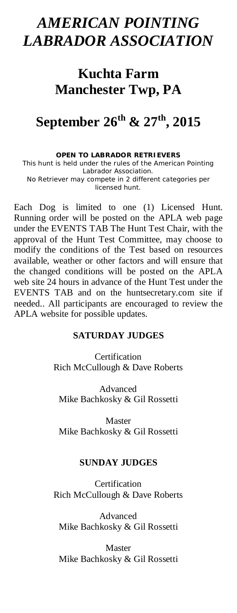## *AMERICAN POINTING LABRADOR ASSOCIATION*

## **Kuchta Farm Manchester Twp, PA**

# **September 26th & 27th, 2015**

**OPEN TO LABRADOR RETRIEVERS**  This hunt is held under the rules of the American Pointing Labrador Association. No Retriever may compete in 2 different categories per licensed hunt.

Each Dog is limited to one (1) Licensed Hunt. Running order will be posted on the APLA web page under the EVENTS TAB The Hunt Test Chair, with the approval of the Hunt Test Committee, may choose to modify the conditions of the Test based on resources available, weather or other factors and will ensure that the changed conditions will be posted on the APLA web site 24 hours in advance of the Hunt Test under the EVENTS TAB and on the huntsecretary.com site if needed.. All participants are encouraged to review the APLA website for possible updates.

### **SATURDAY JUDGES**

Certification Rich McCullough & Dave Roberts

Advanced Mike Bachkosky & Gil Rossetti

Master Mike Bachkosky & Gil Rossetti

## **SUNDAY JUDGES**

Certification Rich McCullough & Dave Roberts

Advanced Mike Bachkosky & Gil Rossetti

Master Mike Bachkosky & Gil Rossetti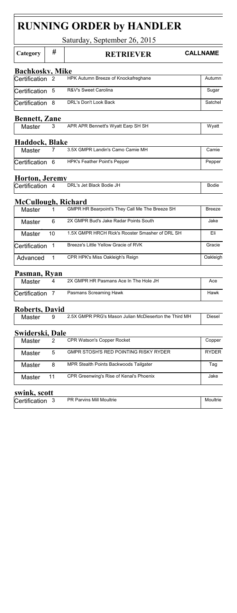| <b>RUNNING ORDER by HANDLER</b> |                |                                                       |                 |  |  |  |  |
|---------------------------------|----------------|-------------------------------------------------------|-----------------|--|--|--|--|
| Saturday, September 26, 2015    |                |                                                       |                 |  |  |  |  |
| Category                        | #              | <b>RETRIEVER</b>                                      | <b>CALLNAME</b> |  |  |  |  |
| <b>Bachkosky, Mike</b>          |                |                                                       |                 |  |  |  |  |
| Certification                   | 2              | HPK Autumn Breeze of Knockafreghane                   | Autumn          |  |  |  |  |
| Certification                   | 5              | R&V's Sweet Carolina                                  | Sugar           |  |  |  |  |
| Certification                   | 8              | DRL's Don't Look Back                                 | Satchel         |  |  |  |  |
| <b>Bennett, Zane</b>            |                |                                                       |                 |  |  |  |  |
| Master                          | 3              | APR APR Bennett's Wyatt Earp SH SH                    | Wyatt           |  |  |  |  |
| Haddock, Blake                  |                |                                                       |                 |  |  |  |  |
| Master                          | 7              | 3.5X GMPR Landin's Camo Camie MH                      | Camie           |  |  |  |  |
| Certification                   | 6              | HPK's Feather Point's Pepper                          | Pepper          |  |  |  |  |
| Horton, Jeremy                  |                |                                                       |                 |  |  |  |  |
| Certification                   | 4              | DRL's Jet Black Bodie JH                              | <b>Bodie</b>    |  |  |  |  |
| McCullough, Richard             |                |                                                       |                 |  |  |  |  |
| Master                          | 1              | GMPR HR Bearpoint's They Call Me The Breeze SH        | <b>Breeze</b>   |  |  |  |  |
| Master                          | 6              | 2X GMPR Bud's Jake Radar Points South                 | Jake            |  |  |  |  |
| Master                          | 10             | 1.5X GMPR HRCH Rick's Rooster Smasher of DRL SH       | Eli             |  |  |  |  |
| Certification                   | 1              | Breeze's Little Yellow Gracie of RVK                  | Gracie          |  |  |  |  |
| Advanced                        | 1              | CPR HPK's Miss Oakleigh's Reign                       | Oakleigh        |  |  |  |  |
| Pasman, Rvan                    |                |                                                       |                 |  |  |  |  |
| Master                          | 4              | 2X GMPR HR Pasmans Ace In The Hole JH                 | Ace             |  |  |  |  |
| Certification                   | 7              | Pasmans Screaming Hawk                                | Hawk            |  |  |  |  |
| Roberts, David                  |                |                                                       |                 |  |  |  |  |
| Master                          | 9              | 2.5X GMPR PRG's Mason Julian McDieserton the Third MH | Diesel          |  |  |  |  |
| Swiderski, Dale                 |                |                                                       |                 |  |  |  |  |
| Master                          | $\overline{2}$ | CPR Watson's Copper Rocket                            | Copper          |  |  |  |  |
| Master                          | 5              | GMPR STOSH'S RED POINTING RISKY RYDER                 | <b>RYDER</b>    |  |  |  |  |
| Master                          | 8              | MPR Stealth Points Backwoods Tailgater                | Tag             |  |  |  |  |
| Master                          | 11             | CPR Greenwing's Rise of Kenai's Phoenix               | Jake            |  |  |  |  |

## **swink, scott**

| $0.11$ and $0.0000$ |  |                          |          |  |  |
|---------------------|--|--------------------------|----------|--|--|
| Certification       |  | PR Parvins Mill Moultrie | Moultrie |  |  |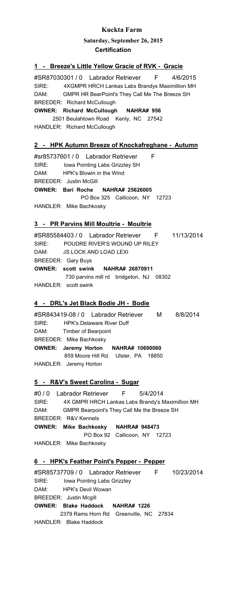**Saturday, September 26, 2015 Certification**

#### **1 - Breeze's Little Yellow Gracie of RVK - Gracie**

#SR87030301 / 0 Labrador Retriever F 4/6/2015 SIRE: 4XGMPR HRCH Lankas Labs Brandys Maximillion MH<br>DAM: CMPB HB BoerBeint's Thou Coll Mo The Breaze SH DAM: GMPR HR BearPoint's They Call Me The Breeze SH **OWNER: Richard McCullough NAHRA# 956** 2501 Beulahtown Road Kenly, NC 27542 BREEDER: Richard McCullough

HANDLER: Richard McCullough

#### **2 - HPK Autumn Breeze of Knockafreghane - Autumn**

#sr85737601 / 0 Labrador Retriever F SIRE: Iowa Pointing Labs Grizzley SH DAM: HPK's Blowin in the Wind **OWNER: Bari Roche NAHRA# 25626005** PO Box 325 Callicoon, NY 12723 HANDLER: Mike Bachkosky BREEDER: Justin McGill

#### **3 - PR Parvins Mill Moultrie - Moultrie**

#SR85584403 / 0 Labrador Retriever F 11/13/2014 SIRE: POUDRE RIVER'S WOUND UP RILEY DAM: JS LOCK AND LOAD LEXI **OWNER: scott swink NAHRA# 26870911** 730 parvins mill rd bridgeton, NJ 08302 HANDLER: scott swink BREEDER: Gary Buys

#### **4 - DRL's Jet Black Bodie JH - Bodie**

#SR843419-08 / 0 Labrador Retriever M 8/8/2014 SIRE: HPK's Delaware River Duff DAM: Timber of Bearpoint **OWNER: Jeremy Horton NAHRA# 10690060** 859 Moore Hill Rd. Ulster, PA 18850 HANDLER: Jeremy Horton BREEDER: Mike Bachkosky

#### **5 - R&V's Sweet Carolina - Sugar**

#0 / 0 Labrador Retriever F 5/4/2014<br>SIRE: 4X GMPR HRCH Lankas Labs Brandy's M 4X GMPR HRCH Lankas Labs Brandy's Maximillion MH DAM: GMPR Bearpoint's They Call Me the Breeze SH **OWNER: Mike Bachkosky NAHRA# 948473** PO Box 92 Callicoon, NY 12723 BREEDER: R&V Kennels

HANDLER: Mike Bachkosky

#### **6 - HPK's Feather Point's Pepper - Pepper**

#SR85737709 / 0 Labrador Retriever F 10/23/2014 Iowa Pointing Labs Grizzley DAM: HPK's Devil Wowan **OWNER: Blake Haddock NAHRA# 1226** 2379 Rams Horn Rd Greenville, NC 27834 HANDLER: Blake Haddock BREEDER: Justin Mcgill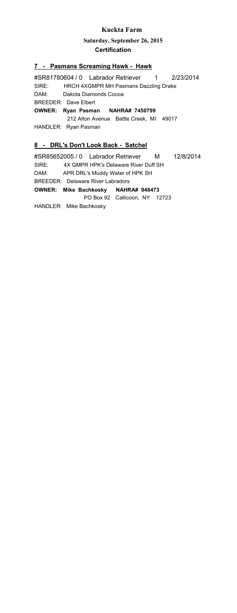**Saturday, September 26, 2015 Certification**

#### **7 - Pasmans Screaming Hawk - Hawk**

#SR81780604 / 0 Labrador Retriever 1 2/23/2014 SIRE: HRCH 4XGMPR MH Pasmans Dazzling Drake DAM: Dakota Diamonds Cocoa **OWNER: Ryan Pasman NAHRA# 7450799** 212 Alton Avenue Battle Creek, MI 49017 HANDLER: Ryan Pasman BREEDER: Dave Elbert

### **8 - DRL's Don't Look Back - Satchel**

#SR85652005 / 0 Labrador Retriever M 12/8/2014 SIRE: 4X GMPR HPK's Delaware River Duff SH DAM: APR DRL's Muddy Water of HPK SH **OWNER: Mike Bachkosky NAHRA# 948473** PO Box 92 Callicoon, NY 12723 BREEDER: Delaware River Labradors

HANDLER: Mike Bachkosky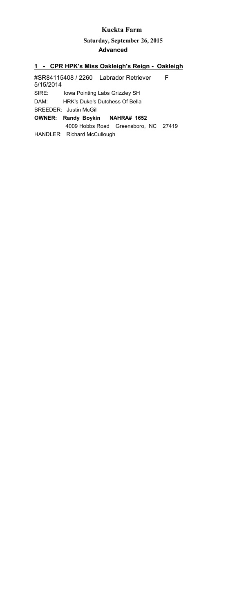#### **Saturday, September 26, 2015 Advanced**

#### **1 - CPR HPK's Miss Oakleigh's Reign - Oakleigh**

#SR84115408 / 2260 Labrador Retriever F 5/15/2014 SIRE: Iowa Pointing Labs Grizzley SH DAM: HRK's Duke's Dutchess Of Bella **OWNER: Randy Boykin NAHRA# 1652** 4009 Hobbs Road Greensboro, NC 27419 HANDLER: Richard McCullough BREEDER: Justin McGill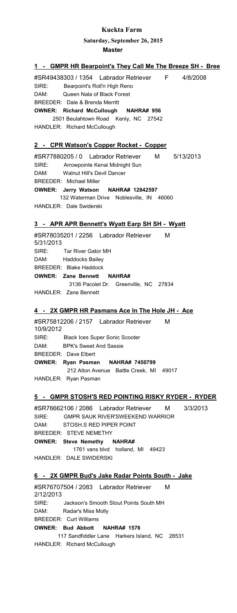**Saturday, September 26, 2015**

**Master**

| Master                                                                                                                                                                                                                                                                        |
|-------------------------------------------------------------------------------------------------------------------------------------------------------------------------------------------------------------------------------------------------------------------------------|
| 1 - GMPR HR Bearpoint's They Call Me The Breeze SH - Bree                                                                                                                                                                                                                     |
| #SR49438303 / 1354 Labrador Retriever F<br>4/8/2008<br>SIRE: Bearpoint's Roll'n High Reno<br>DAM: Queen Nala of Black Forest<br>BREEDER: Dale & Brenda Merritt<br>OWNER: Richard McCullough NAHRA# 956<br>2501 Beulahtown Road Kenly, NC 27542<br>HANDLER: Richard McCullough |
| 2 - CPR Watson's Copper Rocket - Copper                                                                                                                                                                                                                                       |
| #SR77880205 / 0 Labrador Retriever<br>M 5/13/2013<br>SIRE: Arrowpointe Kenai Midnight Sun<br>DAM: Walnut Hill's Devil Dancer<br><b>BREEDER: Michael Miller</b><br>OWNER: Jerry Watson NAHRA# 12842597                                                                         |
| 132 Waterman Drive Noblesville, IN 46060<br>HANDLER: Dale Swiderski                                                                                                                                                                                                           |
| 3 - APR APR Bennett's Wyatt Earp SH SH - Wyatt                                                                                                                                                                                                                                |
| #SR78035201 / 2256    Labrador Retriever    M<br>5/31/2013<br>SIRE: Tar River Gator MH<br>DAM: Haddocks Bailey                                                                                                                                                                |
| <b>BREEDER: Blake Haddock</b><br>OWNER: Zane Bennett NAHRA#<br>3136 Pacolet Dr. Greenville, NC 27834                                                                                                                                                                          |
| HANDLER: Zane Bennett                                                                                                                                                                                                                                                         |
| 4 - 2X GMPR HR Pasmans Ace In The Hole JH - Ace                                                                                                                                                                                                                               |
| #SR75812206 / 2157 Labrador Retriever<br>M<br>10/9/2012                                                                                                                                                                                                                       |
| SIRE: Black Ices Super Sonic Scooter<br>DAM: BPK's Sweet And Sassie<br><b>BREEDER: Dave Elbert</b>                                                                                                                                                                            |
| OWNER: Ryan Pasman NAHRA# 7450799<br>212 Alton Avenue Battle Creek, MI 49017<br>HANDLER: Ryan Pasman                                                                                                                                                                          |
|                                                                                                                                                                                                                                                                               |
| <u>5 - GMPR STOSH'S RED POINTING RISKY RYDER - RYDER</u>                                                                                                                                                                                                                      |
| #SR76662106 / 2086 Labrador Retriever M 3/3/2013<br>SIRE: GMPR SAUK RIVER'SWEEKEND WARRIOR<br>DAM:<br>STOSH.S RED PIPER POINT<br>BREEDER: STEVE NEMETHY<br>OWNER: Steve Nemethy NAHRA#                                                                                        |
| 1761 vans blvd holland, MI 49423<br>HANDLER: DALE SWIDERSKI                                                                                                                                                                                                                   |
| 6 - 2X GMPR Bud's Jake Radar Points South - Jake                                                                                                                                                                                                                              |
| #SR76707504 / 2083 Labrador Retriever M<br>2/12/2013                                                                                                                                                                                                                          |
| SIRE: Jackson's Smooth Stout Points South MH<br>DAM: Radar's Miss Molly<br><b>BREEDER: Curt Williams</b>                                                                                                                                                                      |
| OWNER: Bud Abbott NAHRA# 1576                                                                                                                                                                                                                                                 |
| 117 Sandfiddler Lane Harkers Island, NC 28531                                                                                                                                                                                                                                 |

HANDLER: Richard McCullough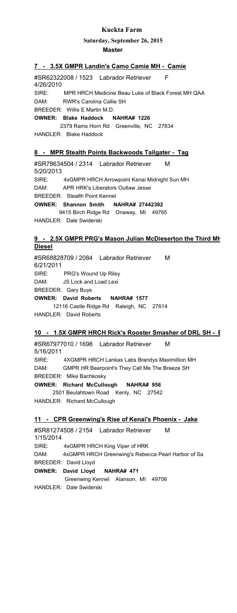#### **Saturday, September 26, 2015**

#### **Master**

#### **7 - 3.5X GMPR Landin's Camo Camie MH - Camie**

#SR62322008 / 1523 Labrador Retriever F 4/26/2010 SIRE: MPR HRCH Medicine Beau Luke of Black Forest MH QAA DAM: RWR's Carolina Callie SH **OWNER: Blake Haddock NAHRA# 1226** BREEDER: Willis E Martin M.D.

 2379 Rams Horn Rd Greenville, NC 27834 HANDLER: Blake Haddock

#### **8 - MPR Stealth Points Backwoods Tailgater - Tag**

#SR78634504 / 2314 Labrador Retriever M 5/20/2013 SIRE: 4xGMPR HRCH Arrowpoint Kenai Midnight Sun MH DAM: APR HRK's Liberators Outlaw Jesse **OWNER: Shannon Smith NAHRA# 27442392** 9415 Birch Ridge Rd Onaway, MI 49765 HANDLER: Dale Swiderski BREEDER: Stealth Point Kennel

#### **9 - 2.5X GMPR PRG's Mason Julian McDieserton the Third MH Diesel**

#SR68828709 / 2084 Labrador Retriever M 6/21/2011 SIRE: PRG's Wound Up Riley DAM: JS Lock and Load Lexi **OWNER: David Roberts NAHRA# 1577** 12116 Castle Ridge Rd Raleigh, NC 27614 HANDLER: David Roberts BREEDER: Gary Buys

#### **10 - 1.5X GMPR HRCH Rick's Rooster Smasher of DRL SH - E**

#SR67977010 / 1698 Labrador Retriever M 5/16/2011 SIRE: 4XGMPR HRCH Lankas Labs Brandys Maximillion MH DAM: GMPR HR Bearpoint's They Call Me The Breeze SH **OWNER: Richard McCullough NAHRA# 956** 2501 Beulahtown Road Kenly, NC 27542 BREEDER: Mike Bachkosky

HANDLER: Richard McCullough

#### **11 - CPR Greenwing's Rise of Kenai's Phoenix - Jake**

#SR81274508 / 2154 Labrador Retriever M 1/15/2014 SIRE: 4xGMPR HRCH King Viper of HRK DAM: 4xGMPR HRCH Greenwing's Rebecca Pearl Harbor of Sa **OWNER: David Lloyd NAHRA# 471** Greenwing Kennel Alanson, MI 49706 HANDLER: Dale Swiderski BREEDER: David Lloyd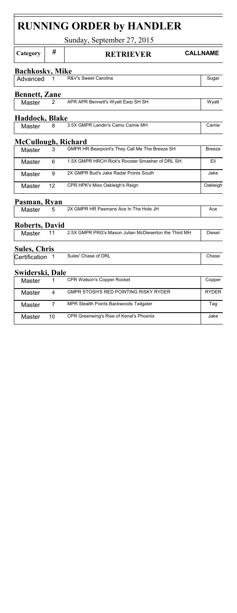| <b>RUNNING ORDER by HANDLER</b> |    |                                                       |               |  |  |  |  |
|---------------------------------|----|-------------------------------------------------------|---------------|--|--|--|--|
|                                 |    | Sunday, September 27, 2015                            |               |  |  |  |  |
| Category                        | #  | <b>CALLNAME</b><br><b>RETRIEVER</b>                   |               |  |  |  |  |
| <b>Bachkosky, Mike</b>          |    |                                                       |               |  |  |  |  |
| Advanced                        | 1  | R&V's Sweet Carolina                                  | Sugar         |  |  |  |  |
| <b>Bennett</b> , Zane           |    |                                                       |               |  |  |  |  |
| Master                          | 2  | APR APR Bennett's Wyatt Earp SH SH                    | Wyatt         |  |  |  |  |
| Haddock, Blake                  |    |                                                       |               |  |  |  |  |
| Master                          | 8  | 3.5X GMPR Landin's Camo Camie MH                      | Camie         |  |  |  |  |
| McCullough, Richard             |    |                                                       |               |  |  |  |  |
| Master                          | 3  | GMPR HR Bearpoint's They Call Me The Breeze SH        | <b>Breeze</b> |  |  |  |  |
| Master                          | 6  | 1.5X GMPR HRCH Rick's Rooster Smasher of DRL SH       | Eli           |  |  |  |  |
| Master                          | 9  | 2X GMPR Bud's Jake Radar Points South                 | Jake          |  |  |  |  |
| Master                          | 12 | CPR HPK's Miss Oakleigh's Reign                       | Oakleigh      |  |  |  |  |
| Pasman, Ryan                    |    |                                                       |               |  |  |  |  |
| Master                          | 5  | 2X GMPR HR Pasmans Ace In The Hole JH                 | Ace           |  |  |  |  |
| <b>Roberts, David</b>           |    |                                                       |               |  |  |  |  |
| Master                          | 11 | 2.5X GMPR PRG's Mason Julian McDieserton the Third MH | Diesel        |  |  |  |  |
| <b>Sules, Chris</b>             |    |                                                       |               |  |  |  |  |
| Certification                   | 1  | Sules' Chase of DRL                                   | Chase         |  |  |  |  |
| Swiderski, Dale                 |    |                                                       |               |  |  |  |  |
| Master                          | 1  | CPR Watson's Copper Rocket                            | Copper        |  |  |  |  |
| Master                          | 4  | GMPR STOSH'S RED POINTING RISKY RYDER                 | <b>RYDER</b>  |  |  |  |  |
| Master                          | 7  | MPR Stealth Points Backwoods Tailgater                | Tag           |  |  |  |  |
| Master                          | 10 | CPR Greenwing's Rise of Kenai's Phoenix               | Jake          |  |  |  |  |
|                                 |    |                                                       |               |  |  |  |  |

F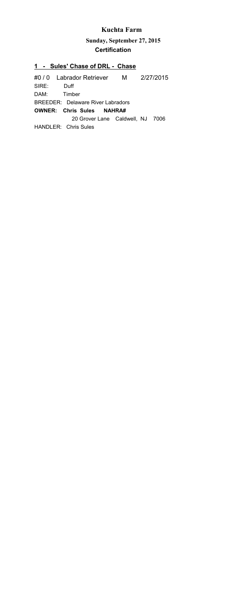**Sunday, September 27, 2015 Certification**

#### **1 - Sules' Chase of DRL - Chase**

#0 / 0 Labrador Retriever M 2/27/2015 SIRE: Duff DAM: Timber **OWNER: Chris Sules NAHRA#**  20 Grover Lane Caldwell, NJ 7006 HANDLER: Chris Sules BREEDER: Delaware River Labradors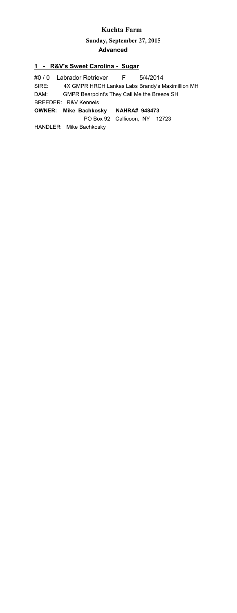**Sunday, September 27, 2015 Advanced**

#### **1 - R&V's Sweet Carolina - Sugar**

#0 / 0 Labrador Retriever F 5/4/2014 SIRE: 4X GMPR HRCH Lankas Labs Brandy's Maximillion MH DAM: GMPR Bearpoint's They Call Me the Breeze SH **OWNER: Mike Bachkosky NAHRA# 948473** PO Box 92 Callicoon, NY 12723 HANDLER: Mike Bachkosky BREEDER: R&V Kennels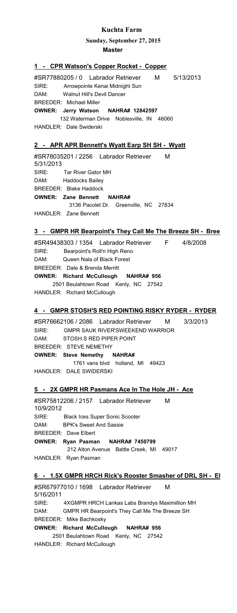**Sunday, September 27, 2015**

**Master**

#### **1 - CPR Watson's Copper Rocket - Copper**

#SR77880205 / 0 Labrador Retriever M 5/13/2013 SIRE: Arrowpointe Kenai Midnight Sun DAM: Walnut Hill's Devil Dancer **OWNER: Jerry Watson NAHRA# 12842597** 132 Waterman Drive Noblesville, IN 46060 HANDLER: Dale Swiderski BREEDER: Michael Miller

#### **APR APR Bennett's Wyatt Earp SH SH - Wyatt**

#SR78035201 / 2256 Labrador Retriever M 5/31/2013 SIRE: Tar River Gator MH DAM: Haddocks Bailey **OWNER: Zane Bennett NAHRA#**  3136 Pacolet Dr. Greenville, NC 27834 HANDLER: Zane Bennett BREEDER: Blake Haddock

## **3 - GMPR HR Bearpoint's They Call Me The Breeze SH - Bree**

#SR49438303 / 1354 Labrador Retriever F 4/8/2008 SIRE: Bearpoint's Roll'n High Reno DAM: Queen Nala of Black Forest **OWNER: Richard McCullough NAHRA# 956** 2501 Beulahtown Road Kenly, NC 27542 HANDLER: Richard McCullough BREEDER: Dale & Brenda Merritt

#### **4 - GMPR STOSH'S RED POINTING RISKY RYDER - RYDER**

#SR76662106 / 2086 Labrador Retriever M 3/3/2013 SIRE: GMPR SAUK RIVER'SWEEKEND WARRIOR DAM: STOSH.S RED PIPER POINT **OWNER: Steve Nemethy NAHRA#**  1761 vans blvd holland, MI 49423 HANDLER: DALE SWIDERSKI BREEDER: STEVE NEMETHY

#### **5 - 2X GMPR HR Pasmans Ace In The Hole JH - Ace**

#SR75812206 / 2157 Labrador Retriever M 10/9/2012 SIRE: Black Ices Super Sonic Scooter DAM: BPK's Sweet And Sassie **OWNER: Ryan Pasman NAHRA# 7450799** 212 Alton Avenue Battle Creek, MI 49017 HANDLER: Ryan Pasman BREEDER: Dave Elbert

#### **6 - 1.5X GMPR HRCH Rick's Rooster Smasher of DRL SH - El**

#SR67977010 / 1698 Labrador Retriever M 5/16/2011 SIRE: 4XGMPR HRCH Lankas Labs Brandys Maximillion MH DAM: GMPR HR Bearpoint's They Call Me The Breeze SH **OWNER: Richard McCullough NAHRA# 956** 2501 Beulahtown Road Kenly, NC 27542 HANDLER: Richard McCullough BREEDER: Mike Bachkosky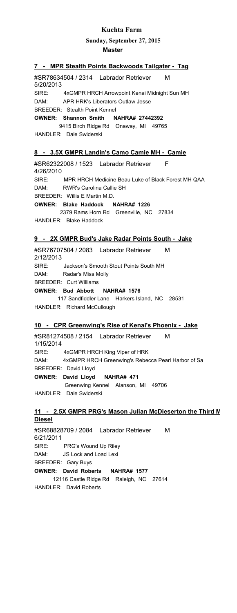**Sunday, September 27, 2015**

#### **Master**

#### **7 - MPR Stealth Points Backwoods Tailgater - Tag**

#SR78634504 / 2314 Labrador Retriever M 5/20/2013 SIRE: 4xGMPR HRCH Arrowpoint Kenai Midnight Sun MH DAM: APR HRK's Liberators Outlaw Jesse **OWNER: Shannon Smith NAHRA# 27442392** 9415 Birch Ridge Rd Onaway, MI 49765 BREEDER: Stealth Point Kennel

HANDLER: Dale Swiderski

#### **8 - 3.5X GMPR Landin's Camo Camie MH - Camie**

#SR62322008 / 1523 Labrador Retriever F 4/26/2010 SIRE: MPR HRCH Medicine Beau Luke of Black Forest MH QAA DAM: RWR's Carolina Callie SH **OWNER: Blake Haddock NAHRA# 1226** 2379 Rams Horn Rd Greenville, NC 27834 HANDLER: Blake Haddock BREEDER: Willis E Martin M.D.

#### **9 - 2X GMPR Bud's Jake Radar Points South - Jake**

#SR76707504 / 2083 Labrador Retriever M 2/12/2013 SIRE: Jackson's Smooth Stout Points South MH DAM: Radar's Miss Molly **OWNER: Bud Abbott NAHRA# 1576** 117 Sandfiddler Lane Harkers Island, NC 28531 HANDLER: Richard McCullough BREEDER: Curt Williams

#### **10 - CPR Greenwing's Rise of Kenai's Phoenix - Jake**

#SR81274508 / 2154 Labrador Retriever M 1/15/2014 SIRE: 4xGMPR HRCH King Viper of HRK DAM: 4xGMPR HRCH Greenwing's Rebecca Pearl Harbor of Sa **OWNER: David Lloyd NAHRA# 471** Greenwing Kennel Alanson, MI 49706 HANDLER: Dale Swiderski BREEDER: David Lloyd

#### **11 - 2.5X GMPR PRG's Mason Julian McDieserton the Third M Diesel**

#SR68828709 / 2084 Labrador Retriever M 6/21/2011 SIRE: PRG's Wound Up Riley<br>DAM: IS Lock and Local Lovi DAM: JS Lock and Load Lexi **OWNER: David Roberts NAHRA# 1577** 12116 Castle Ridge Rd Raleigh, NC 27614 HANDLER: David Roberts BREEDER: Gary Buys